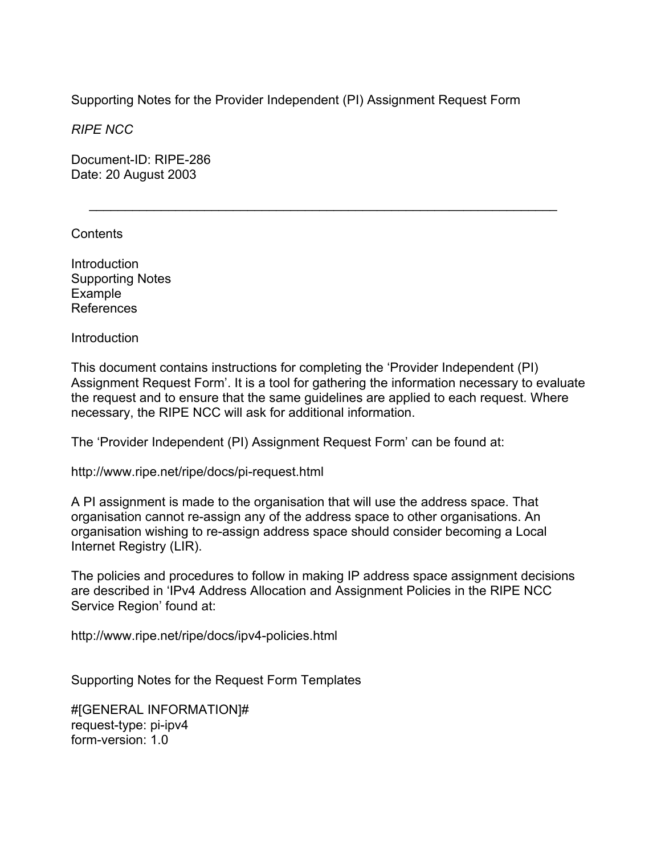Supporting Notes for the Provider Independent (PI) Assignment Request Form

 $\mathcal{L}=\underbrace{\mathcal{L}=\mathcal{L}=\mathcal{L}=\mathcal{L}=\mathcal{L}=\mathcal{L}=\mathcal{L}=\mathcal{L}=\mathcal{L}=\mathcal{L}=\mathcal{L}=\mathcal{L}=\mathcal{L}=\mathcal{L}=\mathcal{L}=\mathcal{L}=\mathcal{L}=\mathcal{L}=\mathcal{L}=\mathcal{L}=\mathcal{L}=\mathcal{L}=\mathcal{L}=\mathcal{L}=\mathcal{L}=\mathcal{L}=\mathcal{L}=\mathcal{L}=\mathcal{L}=\mathcal{L}=\mathcal{L}=\mathcal{L}=\mathcal{L}=\mathcal{L}=\mathcal{L}=\$ 

*RIPE NCC* 

Document-ID: RIPE-286 Date: 20 August 2003

Contents

Introduction Supporting Notes Example References

Introduction

This document contains instructions for completing the 'Provider Independent (PI) Assignment Request Form'. It is a tool for gathering the information necessary to evaluate the request and to ensure that the same guidelines are applied to each request. Where necessary, the RIPE NCC will ask for additional information.

The 'Provider Independent (PI) Assignment Request Form' can be found at:

http://www.ripe.net/ripe/docs/pi-request.html

A PI assignment is made to the organisation that will use the address space. That organisation cannot re-assign any of the address space to other organisations. An organisation wishing to re-assign address space should consider becoming a Local Internet Registry (LIR).

The policies and procedures to follow in making IP address space assignment decisions are described in 'IPv4 Address Allocation and Assignment Policies in the RIPE NCC Service Region' found at:

http://www.ripe.net/ripe/docs/ipv4-policies.html

Supporting Notes for the Request Form Templates

#[GENERAL INFORMATION]# request-type: pi-ipv4 form-version: 1.0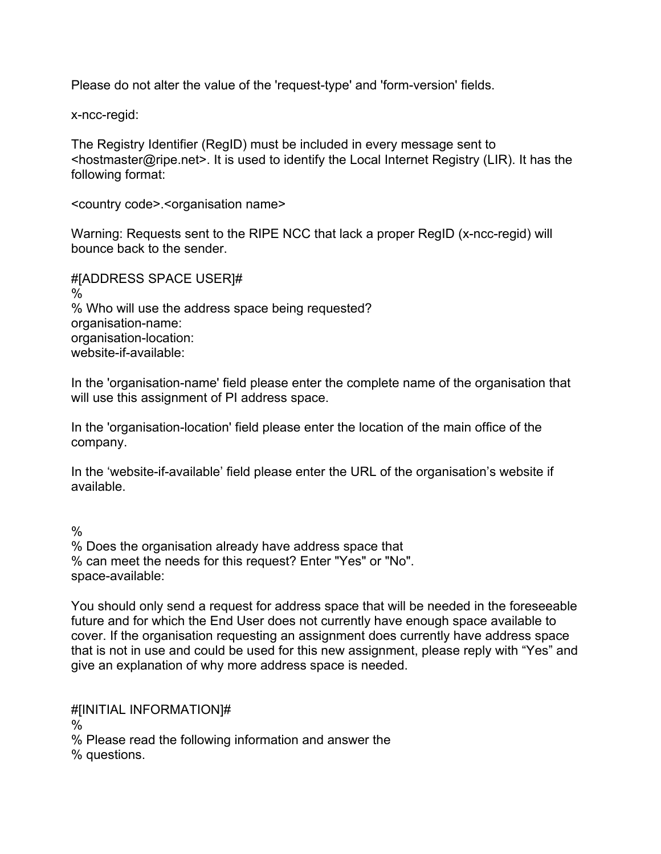Please do not alter the value of the 'request-type' and 'form-version' fields.

x-ncc-regid:

The Registry Identifier (RegID) must be included in every message sent to <hostmaster@ripe.net>. It is used to identify the Local Internet Registry (LIR). It has the following format:

<country code>.<organisation name>

Warning: Requests sent to the RIPE NCC that lack a proper RegID (x-ncc-regid) will bounce back to the sender.

#[ADDRESS SPACE USER]#  $\frac{0}{6}$ % Who will use the address space being requested? organisation-name: organisation-location: website-if-available:

In the 'organisation-name' field please enter the complete name of the organisation that will use this assignment of PI address space.

In the 'organisation-location' field please enter the location of the main office of the company.

In the 'website-if-available' field please enter the URL of the organisation's website if available.

 $\frac{0}{0}$ 

% Does the organisation already have address space that % can meet the needs for this request? Enter "Yes" or "No". space-available:

You should only send a request for address space that will be needed in the foreseeable future and for which the End User does not currently have enough space available to cover. If the organisation requesting an assignment does currently have address space that is not in use and could be used for this new assignment, please reply with "Yes" and give an explanation of why more address space is needed.

#[INITIAL INFORMATION]# % % Please read the following information and answer the % questions.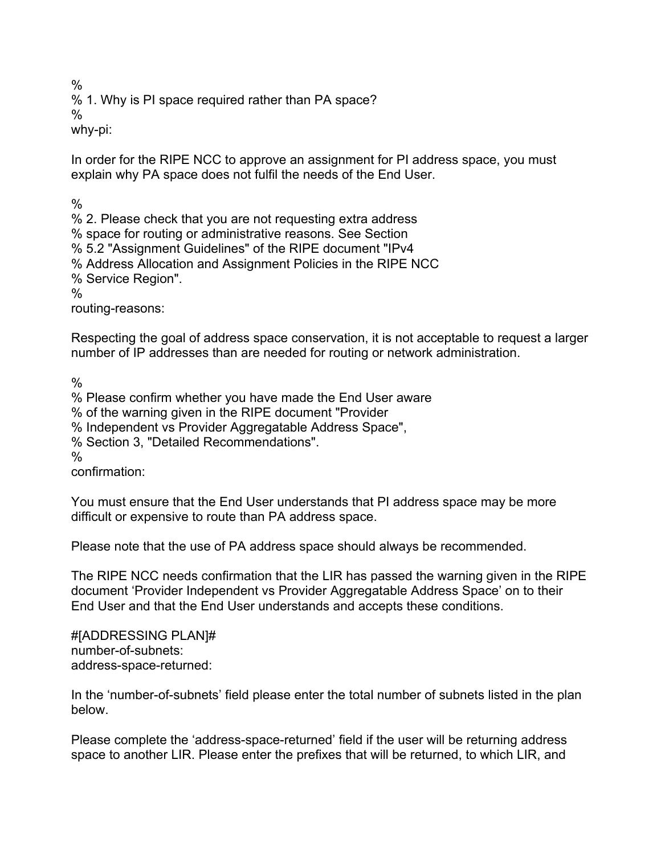%

% 1. Why is PI space required rather than PA space?

%

why-pi:

In order for the RIPE NCC to approve an assignment for PI address space, you must explain why PA space does not fulfil the needs of the End User.

%

% 2. Please check that you are not requesting extra address

% space for routing or administrative reasons. See Section

% 5.2 "Assignment Guidelines" of the RIPE document "IPv4

% Address Allocation and Assignment Policies in the RIPE NCC

% Service Region".

 $\frac{0}{6}$ 

routing-reasons:

Respecting the goal of address space conservation, it is not acceptable to request a larger number of IP addresses than are needed for routing or network administration.

%

% Please confirm whether you have made the End User aware

% of the warning given in the RIPE document "Provider

% Independent vs Provider Aggregatable Address Space",

% Section 3, "Detailed Recommendations".

%

confirmation:

You must ensure that the End User understands that PI address space may be more difficult or expensive to route than PA address space.

Please note that the use of PA address space should always be recommended.

The RIPE NCC needs confirmation that the LIR has passed the warning given in the RIPE document 'Provider Independent vs Provider Aggregatable Address Space' on to their End User and that the End User understands and accepts these conditions.

#[ADDRESSING PLAN]# number-of-subnets: address-space-returned:

In the 'number-of-subnets' field please enter the total number of subnets listed in the plan below.

Please complete the 'address-space-returned' field if the user will be returning address space to another LIR. Please enter the prefixes that will be returned, to which LIR, and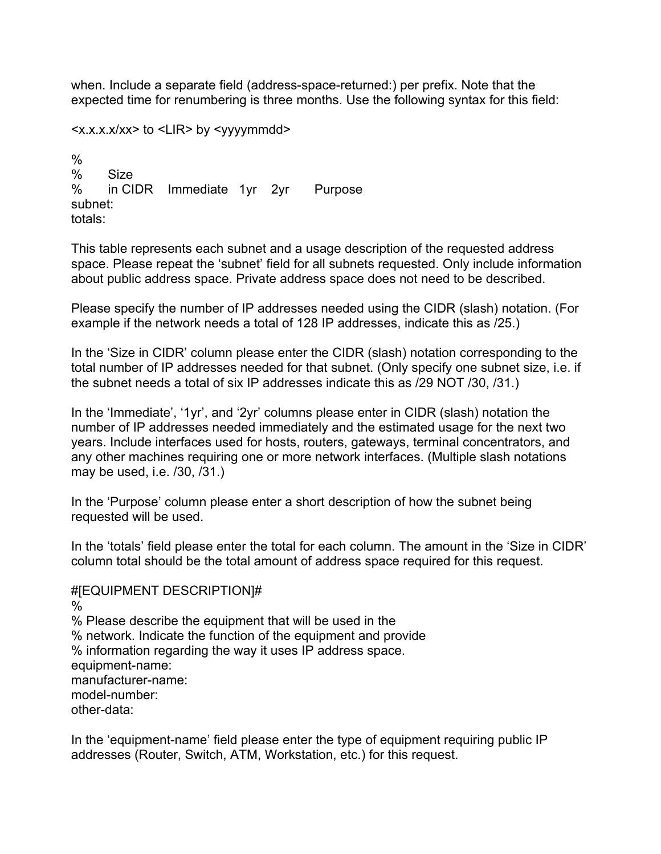when. Include a separate field (address-space-returned:) per prefix. Note that the expected time for renumbering is three months. Use the following syntax for this field:

<x.x.x.x/xx> to <LIR> by <yyyymmdd>

% % Size % in CIDR Immediate 1yr 2yr Purpose subnet: totals:

This table represents each subnet and a usage description of the requested address space. Please repeat the 'subnet' field for all subnets requested. Only include information about public address space. Private address space does not need to be described.

Please specify the number of IP addresses needed using the CIDR (slash) notation. (For example if the network needs a total of 128 IP addresses, indicate this as /25.)

In the 'Size in CIDR' column please enter the CIDR (slash) notation corresponding to the total number of IP addresses needed for that subnet. (Only specify one subnet size, i.e. if the subnet needs a total of six IP addresses indicate this as /29 NOT /30, /31.)

In the 'Immediate', '1yr', and '2yr' columns please enter in CIDR (slash) notation the number of IP addresses needed immediately and the estimated usage for the next two years. Include interfaces used for hosts, routers, gateways, terminal concentrators, and any other machines requiring one or more network interfaces. (Multiple slash notations may be used, i.e. /30, /31.)

In the 'Purpose' column please enter a short description of how the subnet being requested will be used.

In the 'totals' field please enter the total for each column. The amount in the 'Size in CIDR' column total should be the total amount of address space required for this request.

#[EQUIPMENT DESCRIPTION]# % % Please describe the equipment that will be used in the % network. Indicate the function of the equipment and provide % information regarding the way it uses IP address space. equipment-name: manufacturer-name: model-number: other-data:

In the 'equipment-name' field please enter the type of equipment requiring public IP addresses (Router, Switch, ATM, Workstation, etc.) for this request.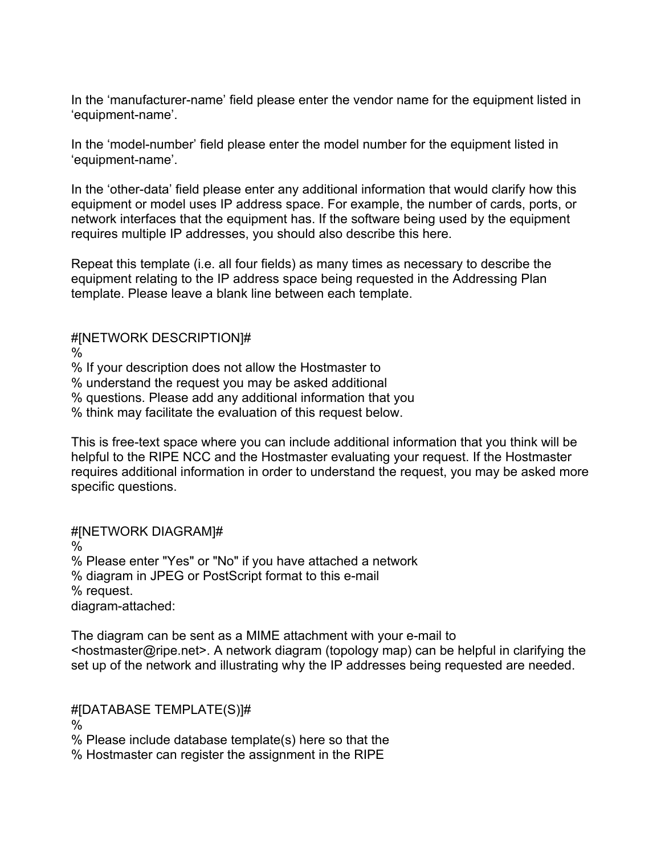In the 'manufacturer-name' field please enter the vendor name for the equipment listed in 'equipment-name'.

In the 'model-number' field please enter the model number for the equipment listed in 'equipment-name'.

In the 'other-data' field please enter any additional information that would clarify how this equipment or model uses IP address space. For example, the number of cards, ports, or network interfaces that the equipment has. If the software being used by the equipment requires multiple IP addresses, you should also describe this here.

Repeat this template (i.e. all four fields) as many times as necessary to describe the equipment relating to the IP address space being requested in the Addressing Plan template. Please leave a blank line between each template.

### #[NETWORK DESCRIPTION]#

%

% If your description does not allow the Hostmaster to

% understand the request you may be asked additional

% questions. Please add any additional information that you

% think may facilitate the evaluation of this request below.

This is free-text space where you can include additional information that you think will be helpful to the RIPE NCC and the Hostmaster evaluating your request. If the Hostmaster requires additional information in order to understand the request, you may be asked more specific questions.

# #[NETWORK DIAGRAM]#

%

% Please enter "Yes" or "No" if you have attached a network % diagram in JPEG or PostScript format to this e-mail % request.

diagram-attached:

The diagram can be sent as a MIME attachment with your e-mail to <hostmaster@ripe.net>. A network diagram (topology map) can be helpful in clarifying the set up of the network and illustrating why the IP addresses being requested are needed.

## #[DATABASE TEMPLATE(S)]#

%

% Please include database template(s) here so that the

% Hostmaster can register the assignment in the RIPE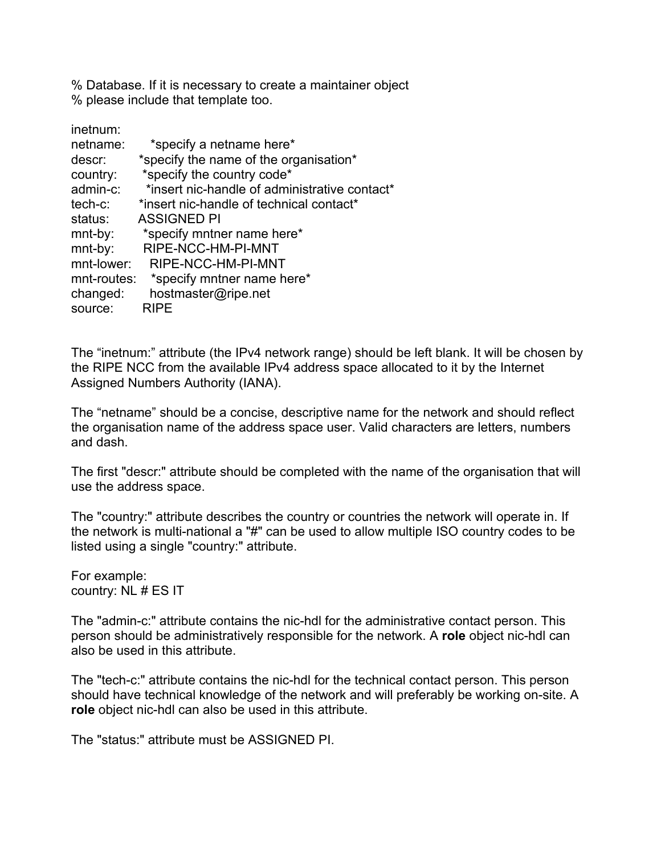% Database. If it is necessary to create a maintainer object % please include that template too.

| inetnum:    |                                               |
|-------------|-----------------------------------------------|
| netname:    | *specify a netname here*                      |
| descr:      | *specify the name of the organisation*        |
| country:    | *specify the country code*                    |
| admin-c:    | *insert nic-handle of administrative contact* |
| $tech-c$ :  | *insert nic-handle of technical contact*      |
| status:     | <b>ASSIGNED PI</b>                            |
| $mnt-by$ :  | *specify mntner name here*                    |
| mnt-by:     | RIPE-NCC-HM-PI-MNT                            |
| mnt-lower:  | RIPE-NCC-HM-PI-MNT                            |
| mnt-routes: | *specify mntner name here*                    |
| changed:    | hostmaster@ripe.net                           |
| source:     | <b>RIPE</b>                                   |

The "inetnum:" attribute (the IPv4 network range) should be left blank. It will be chosen by the RIPE NCC from the available IPv4 address space allocated to it by the Internet Assigned Numbers Authority (IANA).

The "netname" should be a concise, descriptive name for the network and should reflect the organisation name of the address space user. Valid characters are letters, numbers and dash.

The first "descr:" attribute should be completed with the name of the organisation that will use the address space.

The "country:" attribute describes the country or countries the network will operate in. If the network is multi-national a "#" can be used to allow multiple ISO country codes to be listed using a single "country:" attribute.

For example: country: NL # ES IT

The "admin-c:" attribute contains the nic-hdl for the administrative contact person. This person should be administratively responsible for the network. A **role** object nic-hdl can also be used in this attribute.

The "tech-c:" attribute contains the nic-hdl for the technical contact person. This person should have technical knowledge of the network and will preferably be working on-site. A **role** object nic-hdl can also be used in this attribute.

The "status:" attribute must be ASSIGNED PI.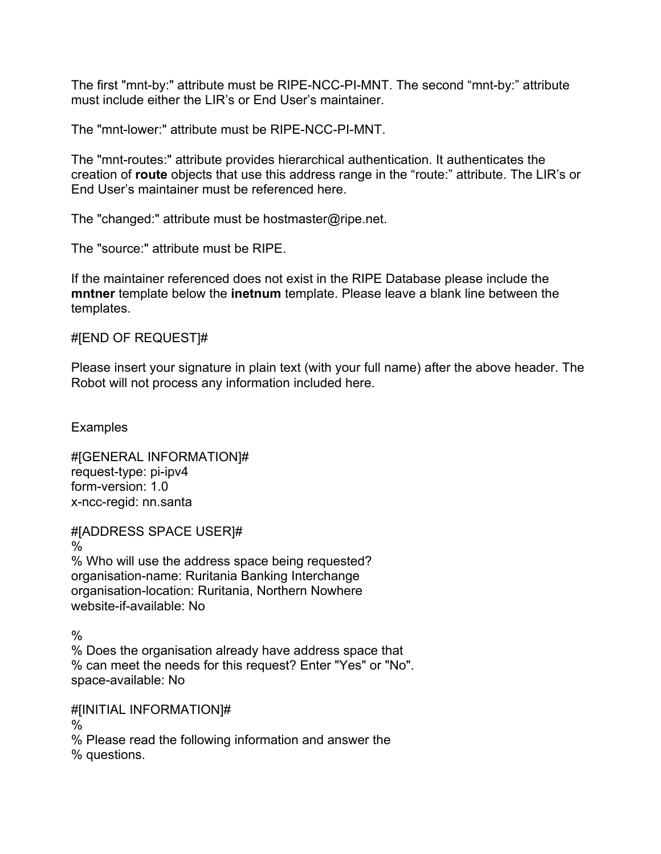The first "mnt-by:" attribute must be RIPE-NCC-PI-MNT. The second "mnt-by:" attribute must include either the LIR's or End User's maintainer.

The "mnt-lower:" attribute must be RIPE-NCC-PI-MNT.

The "mnt-routes:" attribute provides hierarchical authentication. It authenticates the creation of **route** objects that use this address range in the "route:" attribute. The LIR's or End User's maintainer must be referenced here.

The "changed:" attribute must be hostmaster@ripe.net.

The "source:" attribute must be RIPE.

If the maintainer referenced does not exist in the RIPE Database please include the **mntner** template below the **inetnum** template. Please leave a blank line between the templates.

#[END OF REQUEST]#

Please insert your signature in plain text (with your full name) after the above header. The Robot will not process any information included here.

**Examples** 

#[GENERAL INFORMATION]# request-type: pi-ipv4 form-version: 1.0 x-ncc-regid: nn.santa

#[ADDRESS SPACE USER]# % % Who will use the address space being requested? organisation-name: Ruritania Banking Interchange organisation-location: Ruritania, Northern Nowhere website-if-available: No

 $\frac{0}{0}$ 

% Does the organisation already have address space that % can meet the needs for this request? Enter "Yes" or "No". space-available: No

#[INITIAL INFORMATION]#

%

% Please read the following information and answer the % questions.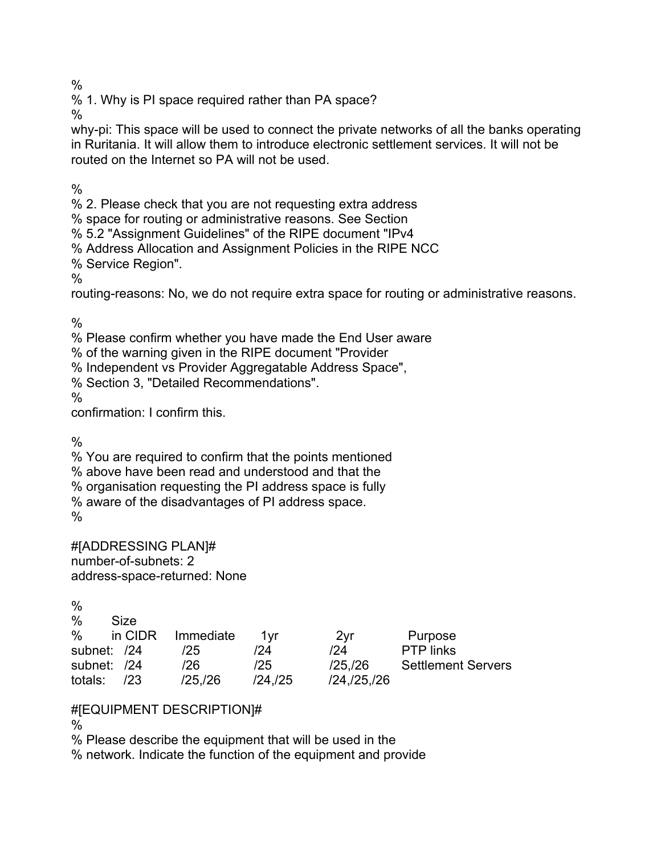%

% 1. Why is PI space required rather than PA space?

%

why-pi: This space will be used to connect the private networks of all the banks operating in Ruritania. It will allow them to introduce electronic settlement services. It will not be routed on the Internet so PA will not be used.

%

% 2. Please check that you are not requesting extra address

% space for routing or administrative reasons. See Section

% 5.2 "Assignment Guidelines" of the RIPE document "IPv4

% Address Allocation and Assignment Policies in the RIPE NCC

% Service Region".

%

routing-reasons: No, we do not require extra space for routing or administrative reasons.

 $\frac{0}{0}$ 

% Please confirm whether you have made the End User aware

% of the warning given in the RIPE document "Provider

% Independent vs Provider Aggregatable Address Space",

% Section 3, "Detailed Recommendations".

%

confirmation: I confirm this.

 $\frac{0}{6}$ 

% You are required to confirm that the points mentioned

% above have been read and understood and that the

% organisation requesting the PI address space is fully

% aware of the disadvantages of PI address space.

 $\frac{0}{0}$ 

#[ADDRESSING PLAN]# number-of-subnets: 2 address-space-returned: None

| $\%$          |         |           |               |               |                           |
|---------------|---------|-----------|---------------|---------------|---------------------------|
| $\frac{0}{0}$ | Size    |           |               |               |                           |
| $\%$          | in CIDR | Immediate | 1vr           | 2vr           | Purpose                   |
| subnet: /24   |         | /25       | /24           | /24           | <b>PTP</b> links          |
| subnet: /24   |         | /26       | /25           | /25./26       | <b>Settlement Servers</b> |
| totals:       | /23     | /25/26    | $/24$ , $/25$ | /24, /25, /26 |                           |

## #[EQUIPMENT DESCRIPTION]#

 $\%$ 

% Please describe the equipment that will be used in the

% network. Indicate the function of the equipment and provide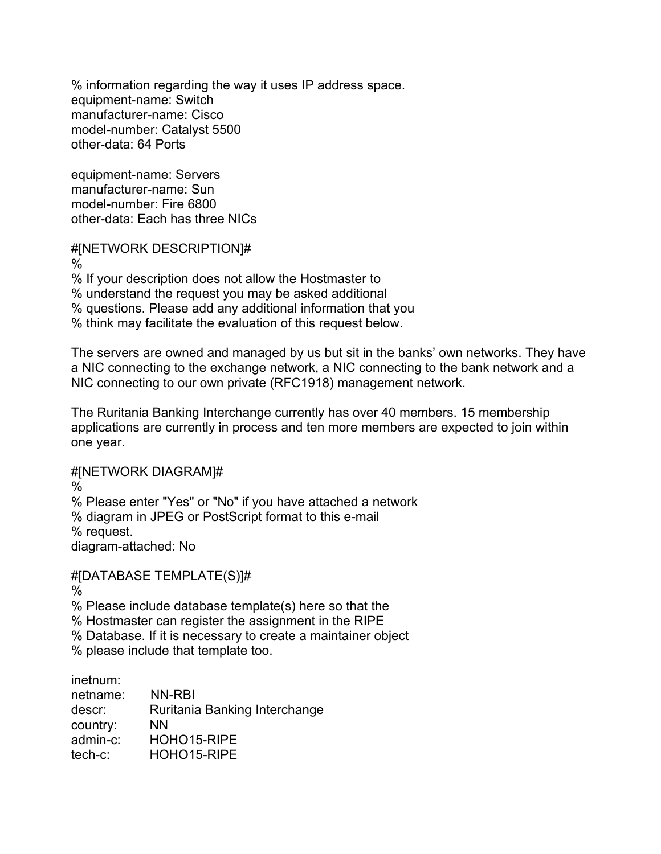% information regarding the way it uses IP address space. equipment-name: Switch manufacturer-name: Cisco model-number: Catalyst 5500 other-data: 64 Ports

equipment-name: Servers manufacturer-name: Sun model-number: Fire 6800 other-data: Each has three NICs

#[NETWORK DESCRIPTION]# %

% If your description does not allow the Hostmaster to % understand the request you may be asked additional % questions. Please add any additional information that you % think may facilitate the evaluation of this request below.

The servers are owned and managed by us but sit in the banks' own networks. They have a NIC connecting to the exchange network, a NIC connecting to the bank network and a NIC connecting to our own private (RFC1918) management network.

The Ruritania Banking Interchange currently has over 40 members. 15 membership applications are currently in process and ten more members are expected to join within one year.

#[NETWORK DIAGRAM]#

%

% Please enter "Yes" or "No" if you have attached a network

% diagram in JPEG or PostScript format to this e-mail

% request.

diagram-attached: No

#[DATABASE TEMPLATE(S)]#

%

% Please include database template(s) here so that the

% Hostmaster can register the assignment in the RIPE

% Database. If it is necessary to create a maintainer object

% please include that template too.

inetnum:

netname: NN-RBI descr: Ruritania Banking Interchange country: NN admin-c: HOHO15-RIPE tech-c: HOHO15-RIPE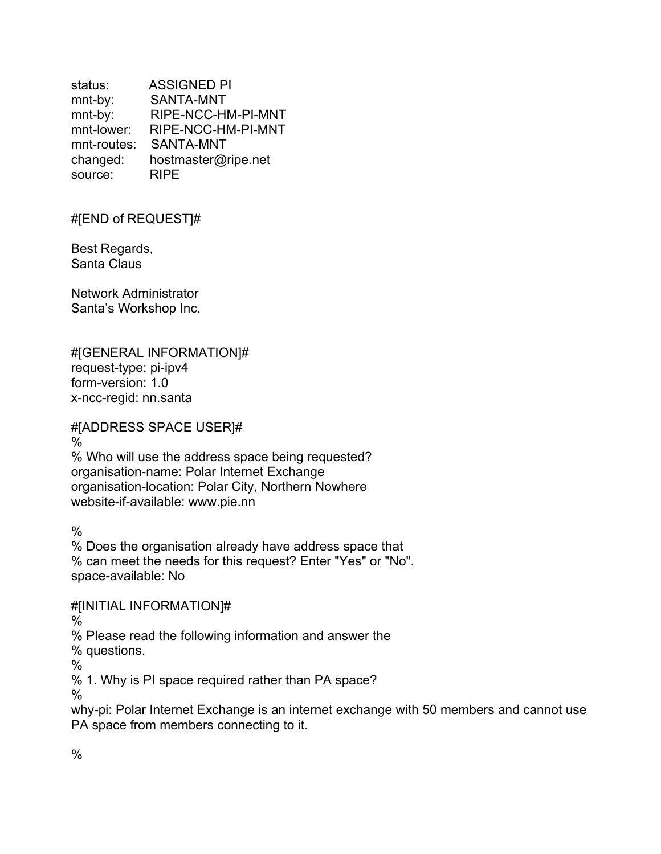status: ASSIGNED PI mnt-by: SANTA-MNT mnt-by: RIPE-NCC-HM-PI-MNT mnt-lower: RIPE-NCC-HM-PI-MNT mnt-routes: SANTA-MNT changed: hostmaster@ripe.net source: RIPE

#[END of REQUEST]#

Best Regards, Santa Claus

Network Administrator Santa's Workshop Inc.

#[GENERAL INFORMATION]# request-type: pi-ipv4 form-version: 1.0 x-ncc-regid: nn.santa

#[ADDRESS SPACE USER]#

% % Who will use the address space being requested? organisation-name: Polar Internet Exchange organisation-location: Polar City, Northern Nowhere website-if-available: www.pie.nn

 $\frac{0}{0}$ 

% Does the organisation already have address space that % can meet the needs for this request? Enter "Yes" or "No". space-available: No

#[INITIAL INFORMATION]#

%

% Please read the following information and answer the

% questions.

 $\frac{0}{0}$ 

% 1. Why is PI space required rather than PA space?

 $\%$ 

why-pi: Polar Internet Exchange is an internet exchange with 50 members and cannot use PA space from members connecting to it.

 $\frac{0}{0}$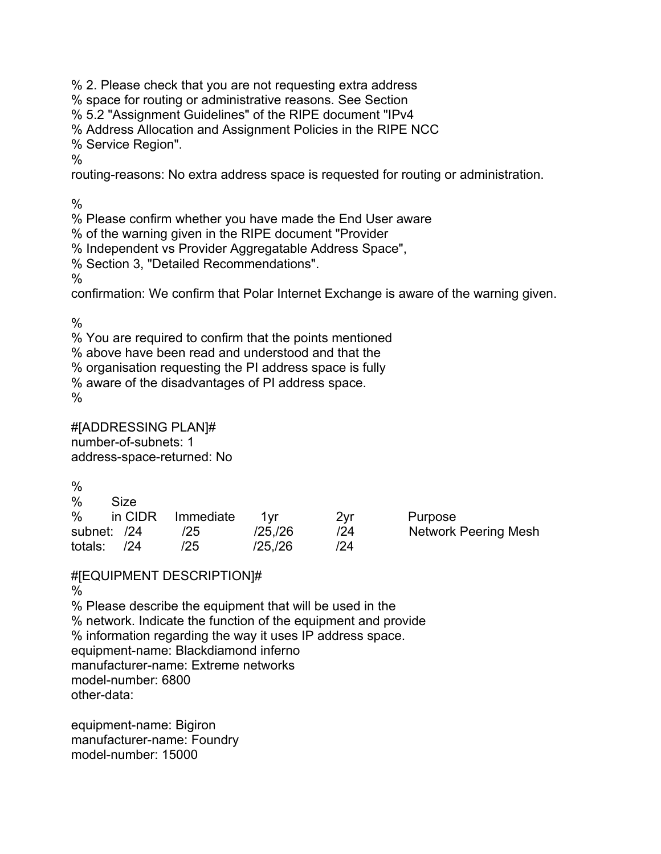% 2. Please check that you are not requesting extra address

% space for routing or administrative reasons. See Section

% 5.2 "Assignment Guidelines" of the RIPE document "IPv4

% Address Allocation and Assignment Policies in the RIPE NCC

% Service Region".

 $\frac{0}{0}$ 

routing-reasons: No extra address space is requested for routing or administration.

%

% Please confirm whether you have made the End User aware

% of the warning given in the RIPE document "Provider

% Independent vs Provider Aggregatable Address Space",

% Section 3, "Detailed Recommendations".

%

confirmation: We confirm that Polar Internet Exchange is aware of the warning given.

 $\frac{0}{0}$ 

% You are required to confirm that the points mentioned

% above have been read and understood and that the

% organisation requesting the PI address space is fully

% aware of the disadvantages of PI address space.

%

#[ADDRESSING PLAN]# number-of-subnets: 1 address-space-returned: No

| %           |         |           |         |     |                             |
|-------------|---------|-----------|---------|-----|-----------------------------|
| $\%$        | Size    |           |         |     |                             |
| $\%$        | in CIDR | Immediate | 1vr     | 2vr | Purpose                     |
| subnet: /24 |         | /25       | /25,/26 | /24 | <b>Network Peering Mesh</b> |
| totals:     | 124     | /25       | /25./26 | /24 |                             |

#[EQUIPMENT DESCRIPTION]#

%

% Please describe the equipment that will be used in the % network. Indicate the function of the equipment and provide % information regarding the way it uses IP address space. equipment-name: Blackdiamond inferno manufacturer-name: Extreme networks model-number: 6800 other-data:

equipment-name: Bigiron manufacturer-name: Foundry model-number: 15000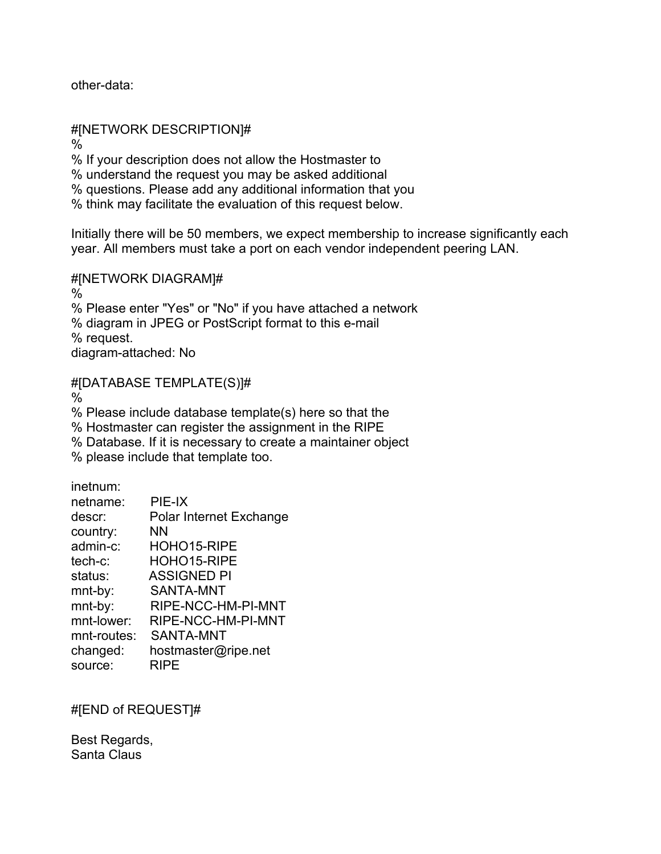other-data:

#[NETWORK DESCRIPTION]#

 $\frac{0}{0}$ 

% If your description does not allow the Hostmaster to

% understand the request you may be asked additional

% questions. Please add any additional information that you

% think may facilitate the evaluation of this request below.

Initially there will be 50 members, we expect membership to increase significantly each year. All members must take a port on each vendor independent peering LAN.

#[NETWORK DIAGRAM]#

 $\%$ % Please enter "Yes" or "No" if you have attached a network % diagram in JPEG or PostScript format to this e-mail % request. diagram-attached: No

#[DATABASE TEMPLATE(S)]#

%

% Please include database template(s) here so that the

% Hostmaster can register the assignment in the RIPE

% Database. If it is necessary to create a maintainer object

% please include that template too.

inetnum:

| netname:    | PIE-IX                         |
|-------------|--------------------------------|
| descr:      | <b>Polar Internet Exchange</b> |
| country:    | ΝN                             |
| admin-c:    | HOHO15-RIPE                    |
| $tech-c$ :  | HOHO15-RIPE                    |
| status:     | <b>ASSIGNED PI</b>             |
| mnt-by:     | SANTA-MNT                      |
| mnt-by:     | RIPE-NCC-HM-PI-MNT             |
| mnt-lower:  | RIPE-NCC-HM-PI-MNT             |
| mnt-routes: | SANTA-MNT                      |
| changed:    | hostmaster@ripe.net            |
| source:     | RIPE                           |

#[END of REQUEST]#

Best Regards, Santa Claus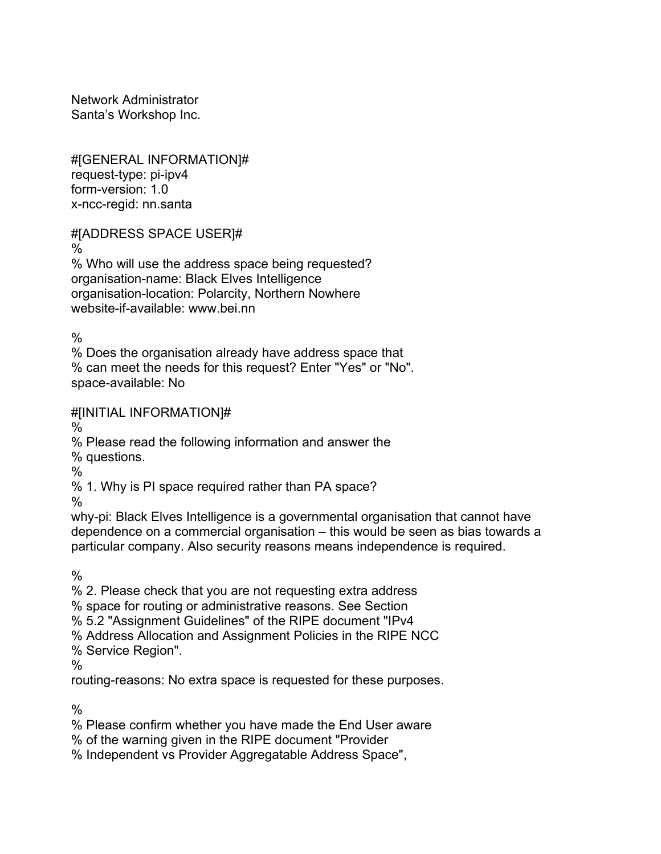Network Administrator Santa's Workshop Inc.

#[GENERAL INFORMATION]# request-type: pi-ipv4 form-version: 1.0 x-ncc-regid: nn.santa

#[ADDRESS SPACE USER]#

%

% Who will use the address space being requested? organisation-name: Black Elves Intelligence organisation-location: Polarcity, Northern Nowhere website-if-available: www.bei.nn

 $\frac{0}{0}$ 

% Does the organisation already have address space that % can meet the needs for this request? Enter "Yes" or "No". space-available: No

#[INITIAL INFORMATION]#

%

% Please read the following information and answer the

% questions.

%

% 1. Why is PI space required rather than PA space?

%

why-pi: Black Elves Intelligence is a governmental organisation that cannot have dependence on a commercial organisation – this would be seen as bias towards a particular company. Also security reasons means independence is required.

%

% 2. Please check that you are not requesting extra address

% space for routing or administrative reasons. See Section

% 5.2 "Assignment Guidelines" of the RIPE document "IPv4

% Address Allocation and Assignment Policies in the RIPE NCC

% Service Region".

 $\frac{0}{0}$ 

routing-reasons: No extra space is requested for these purposes.

 $\frac{0}{0}$ 

% Please confirm whether you have made the End User aware

% of the warning given in the RIPE document "Provider

% Independent vs Provider Aggregatable Address Space",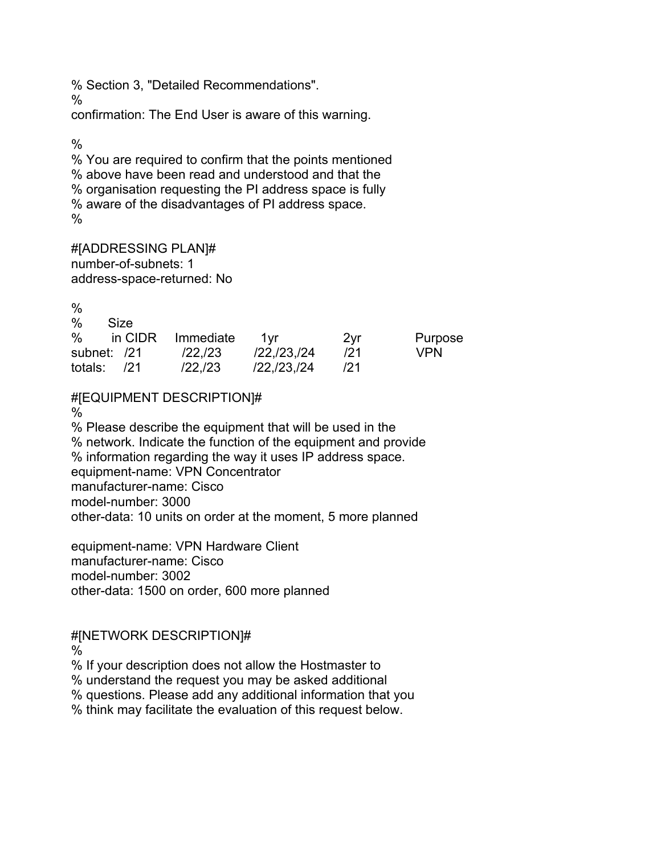% Section 3, "Detailed Recommendations".

confirmation: The End User is aware of this warning.

 $\frac{0}{6}$ 

%

% You are required to confirm that the points mentioned % above have been read and understood and that the % organisation requesting the PI address space is fully % aware of the disadvantages of PI address space.  $\frac{0}{0}$ 

#[ADDRESSING PLAN]# number-of-subnets: 1 address-space-returned: No

| $\frac{0}{0}$           |         |                       |     |            |
|-------------------------|---------|-----------------------|-----|------------|
| $\%$<br>Size            |         |                       |     |            |
| % in CIDR Immediate 1yr |         |                       | 2vr | Purpose    |
| subnet: /21             | /22,/23 | $/22$ , $/23$ , $/24$ | 121 | <b>VPN</b> |
| totals: $/21$           | /22,/23 | /22, /23, /24         | 121 |            |

## #[EQUIPMENT DESCRIPTION]#

%

% Please describe the equipment that will be used in the % network. Indicate the function of the equipment and provide % information regarding the way it uses IP address space. equipment-name: VPN Concentrator manufacturer-name: Cisco model-number: 3000 other-data: 10 units on order at the moment, 5 more planned

equipment-name: VPN Hardware Client manufacturer-name: Cisco model-number: 3002 other-data: 1500 on order, 600 more planned

#[NETWORK DESCRIPTION]# %

% If your description does not allow the Hostmaster to

% understand the request you may be asked additional

% questions. Please add any additional information that you

% think may facilitate the evaluation of this request below.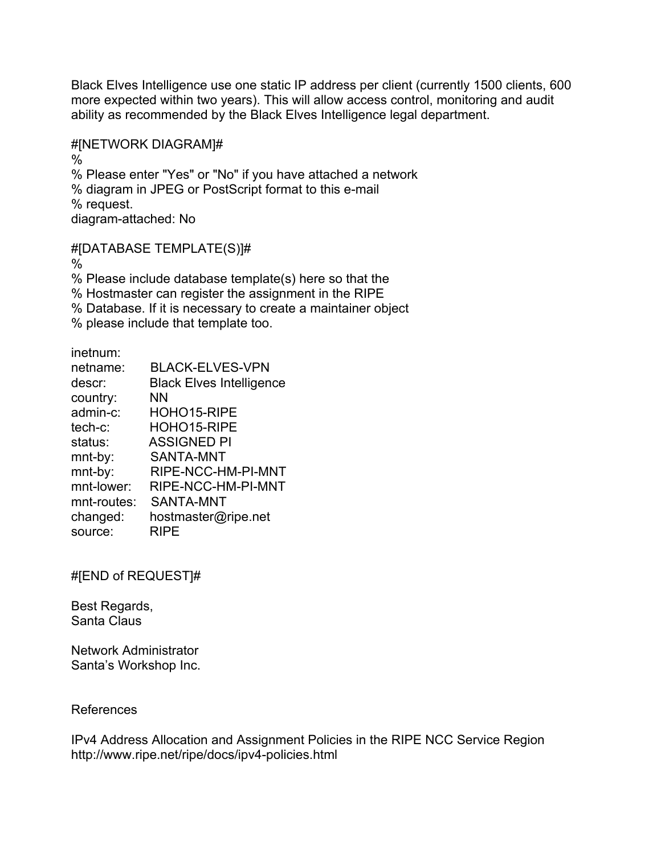Black Elves Intelligence use one static IP address per client (currently 1500 clients, 600 more expected within two years). This will allow access control, monitoring and audit ability as recommended by the Black Elves Intelligence legal department.

#### #[NETWORK DIAGRAM]#

% % Please enter "Yes" or "No" if you have attached a network % diagram in JPEG or PostScript format to this e-mail % request. diagram-attached: No

#### #[DATABASE TEMPLATE(S)]#

%

% Please include database template(s) here so that the

% Hostmaster can register the assignment in the RIPE

% Database. If it is necessary to create a maintainer object

% please include that template too.

inetnum:

| netname:    | <b>BLACK-ELVES-VPN</b>          |
|-------------|---------------------------------|
| descr:      | <b>Black Elves Intelligence</b> |
| country:    | <b>NN</b>                       |
| admin-c:    | HOHO15-RIPE                     |
| tech-c:     | HOHO15-RIPE                     |
| status:     | <b>ASSIGNED PI</b>              |
| mnt-by:     | <b>SANTA-MNT</b>                |
| mnt-by:     | RIPE-NCC-HM-PI-MNT              |
| mnt-lower:  | RIPE-NCC-HM-PI-MNT              |
| mnt-routes: | SANTA-MNT                       |
| changed:    | hostmaster@ripe.net             |
| source:     | <b>RIPE</b>                     |

#[END of REQUEST]#

Best Regards, Santa Claus

Network Administrator Santa's Workshop Inc.

#### References

IPv4 Address Allocation and Assignment Policies in the RIPE NCC Service Region http://www.ripe.net/ripe/docs/ipv4-policies.html